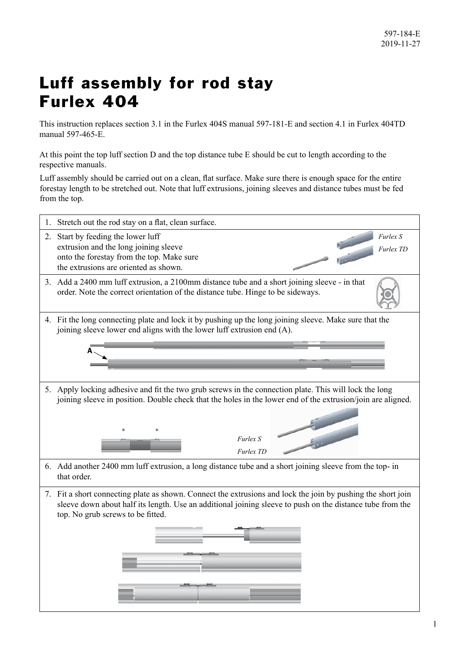## Luff assembly for rod stay Furlex 404

This instruction replaces section 3.1 in the Furlex 404S manual 597-181-E and section 4.1 in Furlex 404TD manual 597-465-E.

At this point the top luff section D and the top distance tube E should be cut to length according to the respective manuals.

Luff assembly should be carried out on a clean, flat surface. Make sure there is enough space for the entire forestay length to be stretched out. Note that luff extrusions, joining sleeves and distance tubes must be fed from the top.

| 1. Stretch out the rod stay on a flat, clean surface.                                                                                                                                                                                                          |
|----------------------------------------------------------------------------------------------------------------------------------------------------------------------------------------------------------------------------------------------------------------|
| 2. Start by feeding the lower luff<br>Furlex S<br>extrusion and the long joining sleeve<br><b>Furlex TD</b><br>onto the forestay from the top. Make sure<br>the extrusions are oriented as shown.                                                              |
| 3. Add a 2400 mm luff extrusion, a 2100mm distance tube and a short joining sleeve - in that<br>order. Note the correct orientation of the distance tube. Hinge to be sideways.                                                                                |
| 4. Fit the long connecting plate and lock it by pushing up the long joining sleeve. Make sure that the<br>joining sleeve lower end aligns with the lower luff extrusion end (A).                                                                               |
| 5. Apply locking adhesive and fit the two grub screws in the connection plate. This will lock the long<br>joining sleeve in position. Double check that the holes in the lower end of the extrusion/join are aligned.<br>Furlex S<br>Furlex TD                 |
| 6. Add another 2400 mm luff extrusion, a long distance tube and a short joining sleeve from the top- in<br>that order.                                                                                                                                         |
| 7. Fit a short connecting plate as shown. Connect the extrusions and lock the join by pushing the short join<br>sleeve down about half its length. Use an additional joining sleeve to push on the distance tube from the<br>top. No grub screws to be fitted. |